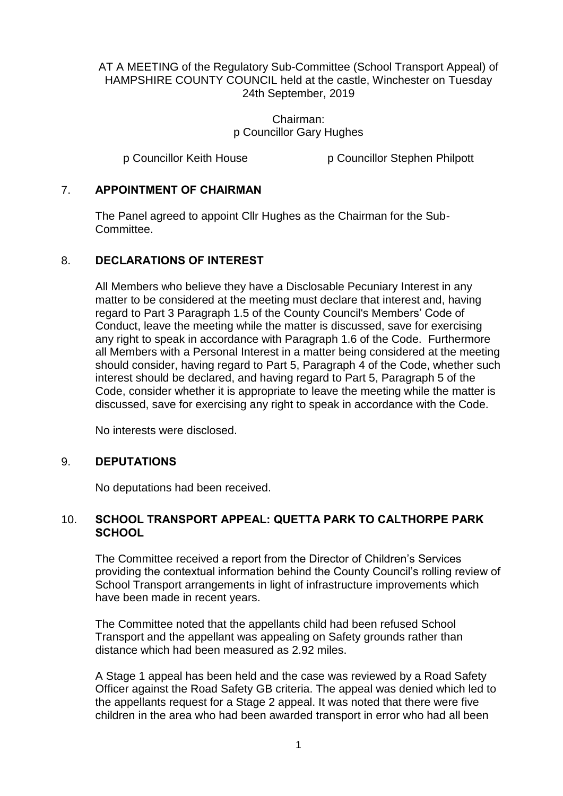AT A MEETING of the Regulatory Sub-Committee (School Transport Appeal) of HAMPSHIRE COUNTY COUNCIL held at the castle, Winchester on Tuesday 24th September, 2019

> Chairman: p Councillor Gary Hughes

p Councillor Keith House p Councillor Stephen Philpott

# 7. **APPOINTMENT OF CHAIRMAN**

The Panel agreed to appoint Cllr Hughes as the Chairman for the Sub-Committee.

### 8. **DECLARATIONS OF INTEREST**

All Members who believe they have a Disclosable Pecuniary Interest in any matter to be considered at the meeting must declare that interest and, having regard to Part 3 Paragraph 1.5 of the County Council's Members' Code of Conduct, leave the meeting while the matter is discussed, save for exercising any right to speak in accordance with Paragraph 1.6 of the Code. Furthermore all Members with a Personal Interest in a matter being considered at the meeting should consider, having regard to Part 5, Paragraph 4 of the Code, whether such interest should be declared, and having regard to Part 5, Paragraph 5 of the Code, consider whether it is appropriate to leave the meeting while the matter is discussed, save for exercising any right to speak in accordance with the Code.

No interests were disclosed.

## 9. **DEPUTATIONS**

No deputations had been received.

# 10. **SCHOOL TRANSPORT APPEAL: QUETTA PARK TO CALTHORPE PARK SCHOOL**

The Committee received a report from the Director of Children's Services providing the contextual information behind the County Council's rolling review of School Transport arrangements in light of infrastructure improvements which have been made in recent years.

The Committee noted that the appellants child had been refused School Transport and the appellant was appealing on Safety grounds rather than distance which had been measured as 2.92 miles.

A Stage 1 appeal has been held and the case was reviewed by a Road Safety Officer against the Road Safety GB criteria. The appeal was denied which led to the appellants request for a Stage 2 appeal. It was noted that there were five children in the area who had been awarded transport in error who had all been